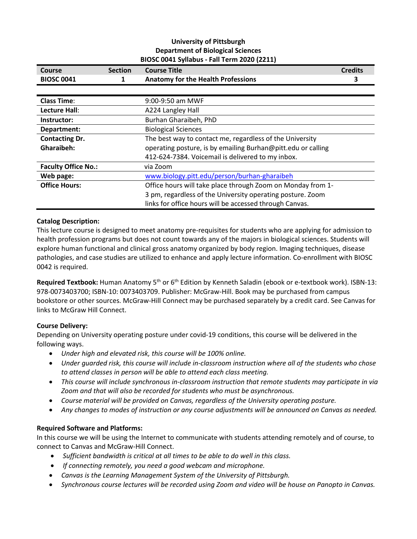# **University of Pittsburgh Department of Biological Sciences BIOSC 0041 Syllabus - Fall Term 2020 (2211)**

| Course                     | <b>Section</b> | <b>Course Title</b>                                          | <b>Credits</b> |
|----------------------------|----------------|--------------------------------------------------------------|----------------|
| <b>BIOSC 0041</b>          | 1              | <b>Anatomy for the Health Professions</b>                    | З              |
|                            |                |                                                              |                |
| <b>Class Time:</b>         |                | 9:00-9:50 am MWF                                             |                |
| Lecture Hall:              |                | A224 Langley Hall                                            |                |
| Instructor:                |                | Burhan Gharaibeh, PhD                                        |                |
| Department:                |                | <b>Biological Sciences</b>                                   |                |
| <b>Contacting Dr.</b>      |                | The best way to contact me, regardless of the University     |                |
| Gharaibeh:                 |                | operating posture, is by emailing Burhan@pitt.edu or calling |                |
|                            |                | 412-624-7384. Voicemail is delivered to my inbox.            |                |
| <b>Faculty Office No.:</b> |                | via Zoom                                                     |                |
| Web page:                  |                | www.biology.pitt.edu/person/burhan-gharaibeh                 |                |
| <b>Office Hours:</b>       |                | Office hours will take place through Zoom on Monday from 1-  |                |
|                            |                | 3 pm, regardless of the University operating posture. Zoom   |                |
|                            |                | links for office hours will be accessed through Canvas.      |                |

# **Catalog Description:**

This lecture course is designed to meet anatomy pre-requisites for students who are applying for admission to health profession programs but does not count towards any of the majors in biological sciences. Students will explore human functional and clinical gross anatomy organized by body region. Imaging techniques, disease pathologies, and case studies are utilized to enhance and apply lecture information. Co-enrollment with BIOSC 0042 is required.

**Required Textbook:** Human Anatomy 5<sup>th</sup> or 6<sup>th</sup> Edition by Kenneth Saladin (ebook or e-textbook work). ISBN-13: 978-0073403700; ISBN-10: 0073403709. Publisher: McGraw-Hill. Book may be purchased from campus bookstore or other sources. McGraw-Hill Connect may be purchased separately by a credit card. See Canvas for links to McGraw Hill Connect.

# **Course Delivery:**

Depending on University operating posture under covid-19 conditions, this course will be delivered in the following ways.

- *Under high and elevated risk, this course will be 100% online.*
- *Under guarded risk, this course will include in-classroom instruction where all of the students who chose to attend classes in person will be able to attend each class meeting.*
- *This course will include synchronous in-classroom instruction that remote students may participate in via Zoom and that will also be recorded for students who must be asynchronous.*
- *Course material will be provided on Canvas, regardless of the University operating posture.*
- *Any changes to modes of instruction or any course adjustments will be announced on Canvas as needed.*

# **Required Software and Platforms:**

In this course we will be using the Internet to communicate with students attending remotely and of course, to connect to Canvas and McGraw-Hill Connect.

- *Sufficient bandwidth is critical at all times to be able to do well in this class.*
- *If connecting remotely, you need a good webcam and microphone.*
- *Canvas is the Learning Management System of the University of Pittsburgh.*
- *Synchronous course lectures will be recorded using Zoom and video will be house on Panopto in Canvas.*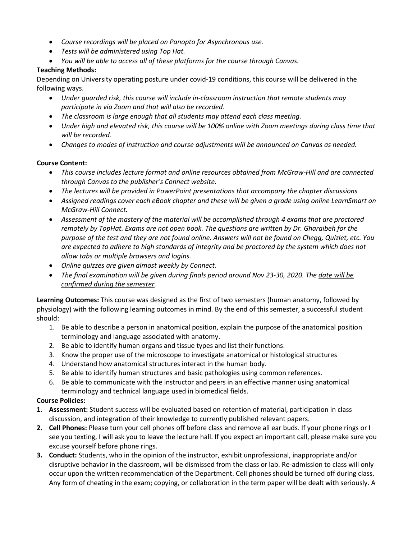- *Course recordings will be placed on Panopto for Asynchronous use.*
- *Tests will be administered using Top Hat.*
- *You will be able to access all of these platforms for the course through Canvas.*

# **Teaching Methods:**

Depending on University operating posture under covid-19 conditions, this course will be delivered in the following ways.

- *Under guarded risk, this course will include in-classroom instruction that remote students may participate in via Zoom and that will also be recorded.*
- *The classroom is large enough that all students may attend each class meeting.*
- *Under high and elevated risk, this course will be 100% online with Zoom meetings during class time that will be recorded.*
- *Changes to modes of instruction and course adjustments will be announced on Canvas as needed.*

# **Course Content:**

- *This course includes lecture format and online resources obtained from McGraw-Hill and are connected through Canvas to the publisher's Connect website.*
- *The lectures will be provided in PowerPoint presentations that accompany the chapter discussions*
- *Assigned readings cover each eBook chapter and these will be given a grade using online LearnSmart on McGraw-Hill Connect.*
- *Assessment of the mastery of the material will be accomplished through 4 exams that are proctored remotely by TopHat. Exams are not open book. The questions are written by Dr. Gharaibeh for the purpose of the test and they are not found online. Answers will not be found on Chegg, Quizlet, etc. You are expected to adhere to high standards of integrity and be proctored by the system which does not allow tabs or multiple browsers and logins.*
- *Online quizzes are given almost weekly by Connect.*
- *The final examination will be given during finals period around Nov 23-30, 2020. The date will be confirmed during the semester.*

**Learning Outcomes:** This course was designed as the first of two semesters (human anatomy, followed by physiology) with the following learning outcomes in mind. By the end of this semester, a successful student should:

- 1. Be able to describe a person in anatomical position, explain the purpose of the anatomical position terminology and language associated with anatomy.
- 2. Be able to identify human organs and tissue types and list their functions.
- 3. Know the proper use of the microscope to investigate anatomical or histological structures
- 4. Understand how anatomical structures interact in the human body.
- 5. Be able to identify human structures and basic pathologies using common references.
- 6. Be able to communicate with the instructor and peers in an effective manner using anatomical terminology and technical language used in biomedical fields.

### **Course Policies:**

- **1. Assessment:** Student success will be evaluated based on retention of material, participation in class discussion, and integration of their knowledge to currently published relevant papers.
- **2. Cell Phones:** Please turn your cell phones off before class and remove all ear buds. If your phone rings or I see you texting, I will ask you to leave the lecture hall. If you expect an important call, please make sure you excuse yourself before phone rings.
- **3. Conduct:** Students, who in the opinion of the instructor, exhibit unprofessional, inappropriate and/or disruptive behavior in the classroom, will be dismissed from the class or lab. Re-admission to class will only occur upon the written recommendation of the Department. Cell phones should be turned off during class. Any form of cheating in the exam; copying, or collaboration in the term paper will be dealt with seriously. A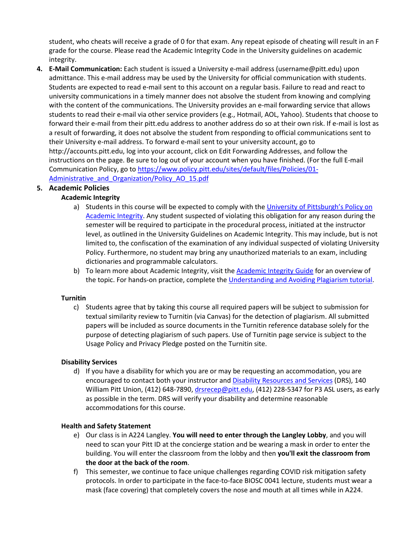student, who cheats will receive a grade of 0 for that exam. Any repeat episode of cheating will result in an F grade for the course. Please read the Academic Integrity Code in the University guidelines on academic integrity.

**4. E-Mail Communication:** Each student is issued a University e-mail address (username@pitt.edu) upon admittance. This e-mail address may be used by the University for official communication with students. Students are expected to read e-mail sent to this account on a regular basis. Failure to read and react to university communications in a timely manner does not absolve the student from knowing and complying with the content of the communications. The University provides an e-mail forwarding service that allows students to read their e-mail via other service providers (e.g., Hotmail, AOL, Yahoo). Students that choose to forward their e-mail from their pitt.edu address to another address do so at their own risk. If e-mail is lost as a result of forwarding, it does not absolve the student from responding to official communications sent to their University e-mail address. To forward e-mail sent to your university account, go to http://accounts.pitt.edu, log into your account, click on Edit Forwarding Addresses, and follow the instructions on the page. Be sure to log out of your account when you have finished. (For the full E-mail Communication Policy, go to [https://www.policy.pitt.edu/sites/default/files/Policies/01-](https://www.policy.pitt.edu/sites/default/files/Policies/01-Administrative_and_Organization/Policy_AO_15.pdf) Administrative and Organization/Policy AO 15.pdf

# **5. Academic Policies**

# **Academic Integrity**

- a) Students in this course will be expected to comply with the University of Pittsburgh's Policy on [Academic Integrity.](http://www.cfo.pitt.edu/policies/policy/02/02-03-02.html) Any student suspected of violating this obligation for any reason during the semester will be required to participate in the procedural process, initiated at the instructor level, as outlined in the University Guidelines on Academic Integrity. This may include, but is not limited to, the confiscation of the examination of any individual suspected of violating University Policy. Furthermore, no student may bring any unauthorized materials to an exam, including dictionaries and programmable calculators.
- b) To learn more about Academic Integrity, visit the [Academic Integrity Guide](https://pitt.libguides.com/academicintegrity/) for an overview of the topic. For hands-on practice, complete the [Understanding and Avoiding Plagiarism tutorial.](https://pitt.libguides.com/academicintegrity/plagiarism)

### **Turnitin**

c) Students agree that by taking this course all required papers will be subject to submission for textual similarity review to Turnitin (via Canvas) for the detection of plagiarism. All submitted papers will be included as source documents in the Turnitin reference database solely for the purpose of detecting plagiarism of such papers. Use of Turnitin page service is subject to the Usage Policy and Privacy Pledge posted on the Turnitin site.

### **Disability Services**

d) If you have a disability for which you are or may be requesting an accommodation, you are encouraged to contact both your instructor an[d Disability Resources and Services](https://www.studentaffairs.pitt.edu/drs/) (DRS), 140 William Pitt Union, (412) 648-7890, drsrecep@pitt.edu, (412) 228-5347 for P3 ASL users, as early as possible in the term. DRS will verify your disability and determine reasonable accommodations for this course.

### **Health and Safety Statement**

- e) Our class is in A224 Langley. **You will need to enter through the Langley Lobby**, and you will need to scan your Pitt ID at the concierge station and be wearing a mask in order to enter the building. You will enter the classroom from the lobby and then **you'll exit the classroom from the door at the back of the room**.
- f) This semester, we continue to face unique challenges regarding COVID risk mitigation safety protocols. In order to participate in the face-to-face BIOSC 0041 lecture, students must wear a mask (face covering) that completely covers the nose and mouth at all times while in A224.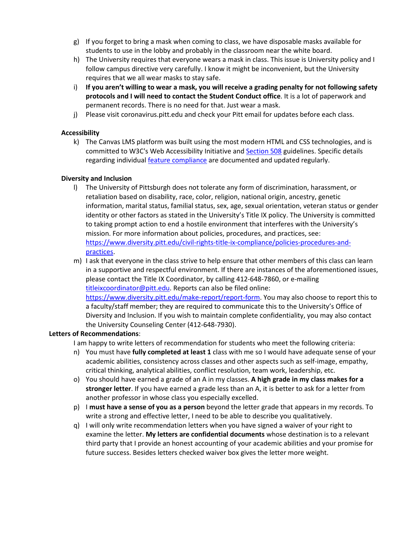- g) If you forget to bring a mask when coming to class, we have disposable masks available for students to use in the lobby and probably in the classroom near the white board.
- h) The University requires that everyone wears a mask in class. This issue is University policy and I follow campus directive very carefully. I know it might be inconvenient, but the University requires that we all wear masks to stay safe.
- i) **If you aren't willing to wear a mask, you will receive a grading penalty for not following safety protocols and I will need to contact the Student Conduct office**. It is a lot of paperwork and permanent records. There is no need for that. Just wear a mask.
- j) Please visit coronavirus.pitt.edu and check your Pitt email for updates before each class.

# **Accessibility**

k) The Canvas LMS platform was built using the most modern HTML and CSS technologies, and is committed to W3C's Web Accessibility Initiative and **Section 508** guidelines. Specific details regarding individual **feature compliance** are documented and updated regularly.

# **Diversity and Inclusion**

- l) The University of Pittsburgh does not tolerate any form of discrimination, harassment, or retaliation based on disability, race, color, religion, national origin, ancestry, genetic information, marital status, familial status, sex, age, sexual orientation, veteran status or gender identity or other factors as stated in the University's Title IX policy. The University is committed to taking prompt action to end a hostile environment that interferes with the University's mission. For more information about policies, procedures, and practices, see: [https://www.diversity.pitt.edu/civil-rights-title-ix-compliance/policies-procedures-and](https://www.diversity.pitt.edu/civil-rights-title-ix-compliance/policies-procedures-and-practices)[practices.](https://www.diversity.pitt.edu/civil-rights-title-ix-compliance/policies-procedures-and-practices)
- m) I ask that everyone in the class strive to help ensure that other members of this class can learn in a supportive and respectful environment. If there are instances of the aforementioned issues, please contact the Title IX Coordinator, by calling 412-648-7860, or e-mailing titleixcoordinator@pitt.edu. Reports can also be filed online: [https://www.diversity.pitt.edu/make-report/report-form.](https://www.diversity.pitt.edu/make-report/report-form) You may also choose to report this to a faculty/staff member; they are required to communicate this to the University's Office of Diversity and Inclusion. If you wish to maintain complete confidentiality, you may also contact the University Counseling Center (412-648-7930).

### **Letters of Recommendations**:

I am happy to write letters of recommendation for students who meet the following criteria:

- n) You must have **fully completed at least 1** class with me so I would have adequate sense of your academic abilities, consistency across classes and other aspects such as self-image, empathy, critical thinking, analytical abilities, conflict resolution, team work, leadership, etc.
- o) You should have earned a grade of an A in my classes. **A high grade in my class makes for a stronger letter**. If you have earned a grade less than an A, it is better to ask for a letter from another professor in whose class you especially excelled.
- p) I **must have a sense of you as a person** beyond the letter grade that appears in my records. To write a strong and effective letter, I need to be able to describe you qualitatively.
- q) I will only write recommendation letters when you have signed a waiver of your right to examine the letter. **My letters are confidential documents** whose destination is to a relevant third party that I provide an honest accounting of your academic abilities and your promise for future success. Besides letters checked waiver box gives the letter more weight.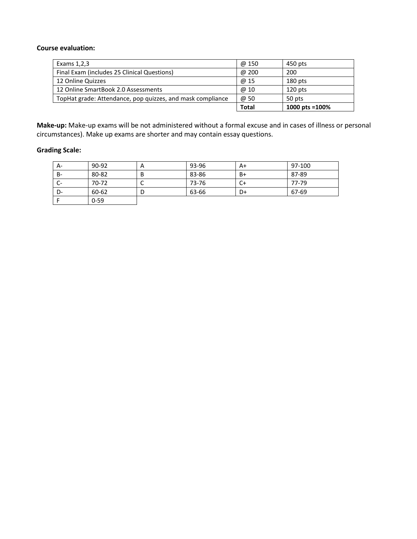#### **Course evaluation:**

| Exams 1,2,3                                                | @ 150        | 450 pts            |
|------------------------------------------------------------|--------------|--------------------|
| Final Exam (includes 25 Clinical Questions)                | @ 200        | 200                |
| 12 Online Quizzes                                          | @ 15         | $180$ pts          |
| 12 Online SmartBook 2.0 Assessments                        | @ 10         | 120 pts            |
| TopHat grade: Attendance, pop quizzes, and mask compliance | @ 50         | 50 pts             |
|                                                            | <b>Total</b> | 1000 pts = $100\%$ |

**Make-up:** Make-up exams will be not administered without a formal excuse and in cases of illness or personal circumstances). Make up exams are shorter and may contain essay questions.

# **Grading Scale:**

| A-        | 90-92    | A | 93-96 | A+ | 97-100 |
|-----------|----------|---|-------|----|--------|
| <b>B-</b> | 80-82    | B | 83-86 | B+ | 87-89  |
| ◡         | 70-72    |   | 73-76 | C+ | 77-79  |
| D-        | 60-62    |   | 63-66 | D+ | 67-69  |
|           | $0 - 59$ |   |       |    |        |